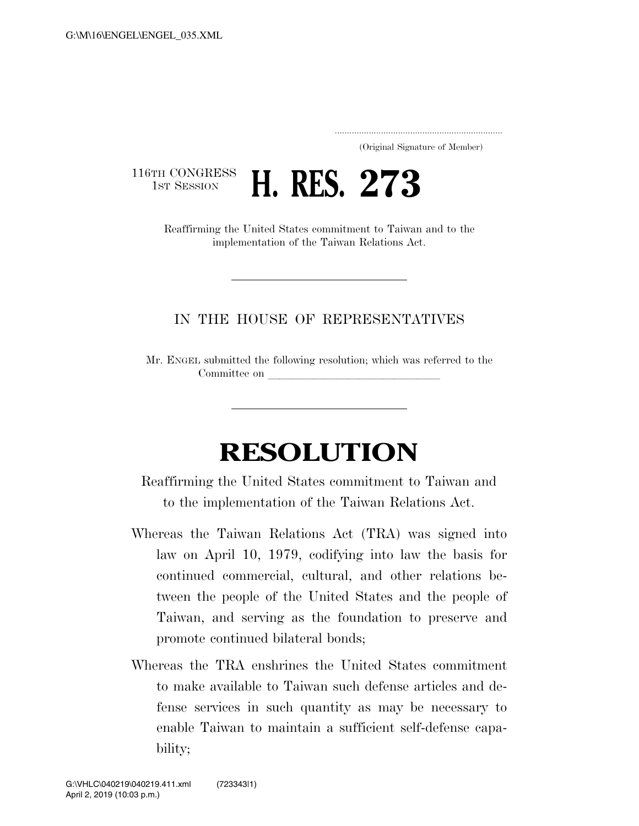..................................................................... (Original Signature of Member)

116TH CONGRESS<br>1st Session



Reaffirming the United States commitment to Taiwan and to the implementation of the Taiwan Relations Act.

## IN THE HOUSE OF REPRESENTATIVES

Mr. ENGEL submitted the following resolution; which was referred to the Committee on

## **RESOLUTION**

Reaffirming the United States commitment to Taiwan and to the implementation of the Taiwan Relations Act.

- Whereas the Taiwan Relations Act (TRA) was signed into law on April 10, 1979, codifying into law the basis for continued commercial, cultural, and other relations between the people of the United States and the people of Taiwan, and serving as the foundation to preserve and promote continued bilateral bonds;
- Whereas the TRA enshrines the United States commitment to make available to Taiwan such defense articles and defense services in such quantity as may be necessary to enable Taiwan to maintain a sufficient self-defense capability;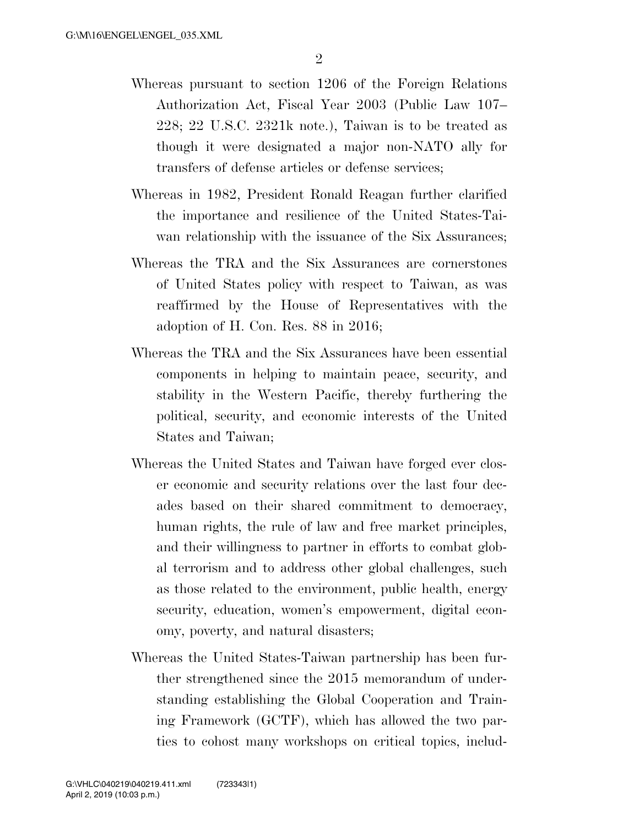- Whereas pursuant to section 1206 of the Foreign Relations Authorization Act, Fiscal Year 2003 (Public Law 107– 228; 22 U.S.C. 2321k note.), Taiwan is to be treated as though it were designated a major non-NATO ally for transfers of defense articles or defense services;
- Whereas in 1982, President Ronald Reagan further clarified the importance and resilience of the United States-Taiwan relationship with the issuance of the Six Assurances;
- Whereas the TRA and the Six Assurances are cornerstones of United States policy with respect to Taiwan, as was reaffirmed by the House of Representatives with the adoption of H. Con. Res. 88 in 2016;
- Whereas the TRA and the Six Assurances have been essential components in helping to maintain peace, security, and stability in the Western Pacific, thereby furthering the political, security, and economic interests of the United States and Taiwan;
- Whereas the United States and Taiwan have forged ever closer economic and security relations over the last four decades based on their shared commitment to democracy, human rights, the rule of law and free market principles, and their willingness to partner in efforts to combat global terrorism and to address other global challenges, such as those related to the environment, public health, energy security, education, women's empowerment, digital economy, poverty, and natural disasters;
- Whereas the United States-Taiwan partnership has been further strengthened since the 2015 memorandum of understanding establishing the Global Cooperation and Training Framework (GCTF), which has allowed the two parties to cohost many workshops on critical topics, includ-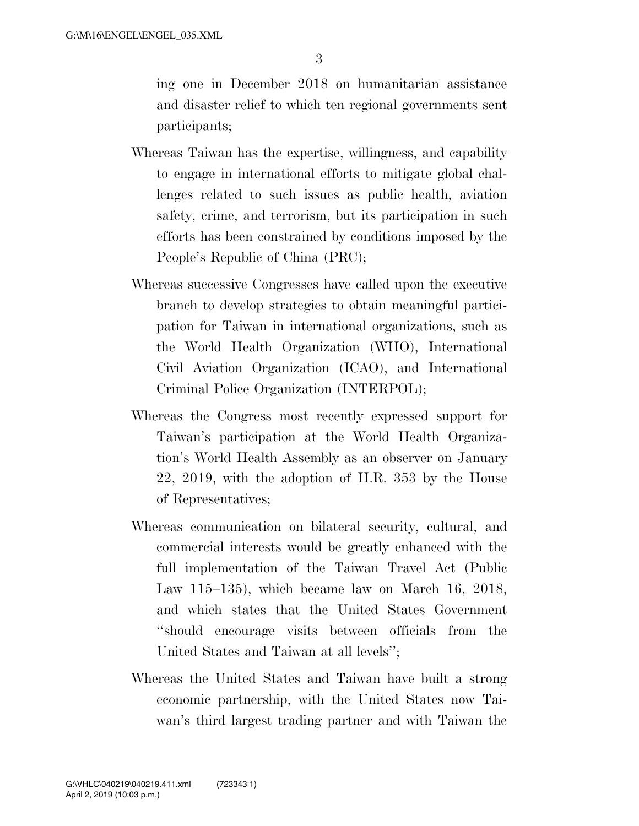ing one in December 2018 on humanitarian assistance and disaster relief to which ten regional governments sent participants;

- Whereas Taiwan has the expertise, willingness, and capability to engage in international efforts to mitigate global challenges related to such issues as public health, aviation safety, crime, and terrorism, but its participation in such efforts has been constrained by conditions imposed by the People's Republic of China (PRC);
- Whereas successive Congresses have called upon the executive branch to develop strategies to obtain meaningful participation for Taiwan in international organizations, such as the World Health Organization (WHO), International Civil Aviation Organization (ICAO), and International Criminal Police Organization (INTERPOL);
- Whereas the Congress most recently expressed support for Taiwan's participation at the World Health Organization's World Health Assembly as an observer on January 22, 2019, with the adoption of H.R. 353 by the House of Representatives;
- Whereas communication on bilateral security, cultural, and commercial interests would be greatly enhanced with the full implementation of the Taiwan Travel Act (Public Law 115–135), which became law on March 16, 2018, and which states that the United States Government ''should encourage visits between officials from the United States and Taiwan at all levels'';
- Whereas the United States and Taiwan have built a strong economic partnership, with the United States now Taiwan's third largest trading partner and with Taiwan the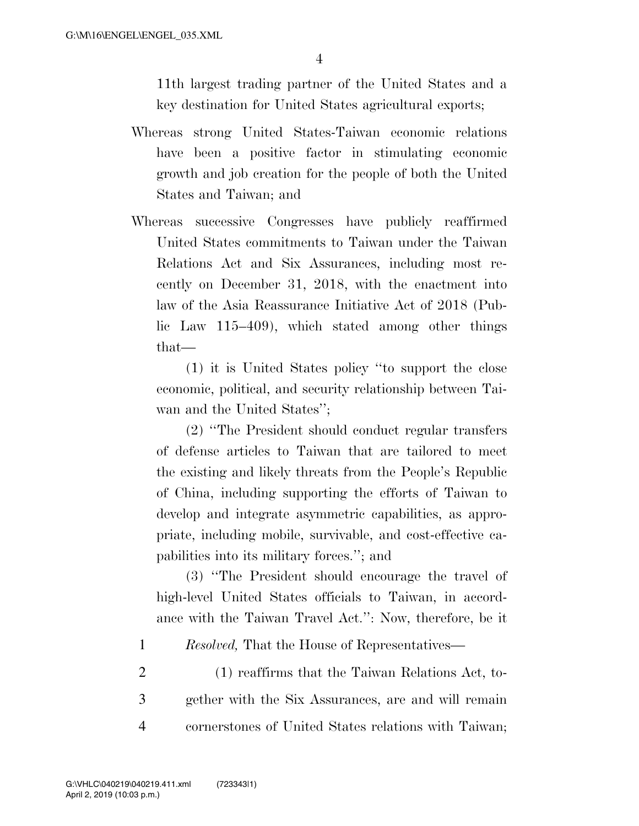11th largest trading partner of the United States and a key destination for United States agricultural exports;

- Whereas strong United States-Taiwan economic relations have been a positive factor in stimulating economic growth and job creation for the people of both the United States and Taiwan; and
- Whereas successive Congresses have publicly reaffirmed United States commitments to Taiwan under the Taiwan Relations Act and Six Assurances, including most recently on December 31, 2018, with the enactment into law of the Asia Reassurance Initiative Act of 2018 (Public Law 115–409), which stated among other things that—

(1) it is United States policy ''to support the close economic, political, and security relationship between Taiwan and the United States'';

(2) ''The President should conduct regular transfers of defense articles to Taiwan that are tailored to meet the existing and likely threats from the People's Republic of China, including supporting the efforts of Taiwan to develop and integrate asymmetric capabilities, as appropriate, including mobile, survivable, and cost-effective capabilities into its military forces.''; and

(3) ''The President should encourage the travel of high-level United States officials to Taiwan, in accordance with the Taiwan Travel Act.'': Now, therefore, be it

1 *Resolved,* That the House of Representatives—

2 (1) reaffirms that the Taiwan Relations Act, to-3 gether with the Six Assurances, are and will remain 4 cornerstones of United States relations with Taiwan;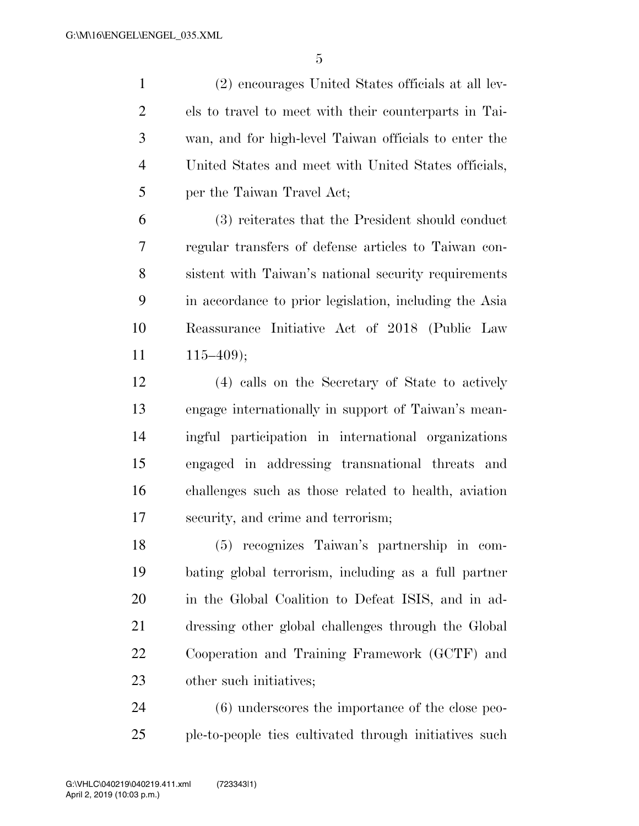(2) encourages United States officials at all lev- els to travel to meet with their counterparts in Tai- wan, and for high-level Taiwan officials to enter the United States and meet with United States officials, per the Taiwan Travel Act;

 (3) reiterates that the President should conduct regular transfers of defense articles to Taiwan con- sistent with Taiwan's national security requirements in accordance to prior legislation, including the Asia Reassurance Initiative Act of 2018 (Public Law  $11 \t115-409$ ;

 (4) calls on the Secretary of State to actively engage internationally in support of Taiwan's mean- ingful participation in international organizations engaged in addressing transnational threats and challenges such as those related to health, aviation security, and crime and terrorism;

 (5) recognizes Taiwan's partnership in com- bating global terrorism, including as a full partner in the Global Coalition to Defeat ISIS, and in ad- dressing other global challenges through the Global Cooperation and Training Framework (GCTF) and other such initiatives;

 (6) underscores the importance of the close peo-ple-to-people ties cultivated through initiatives such